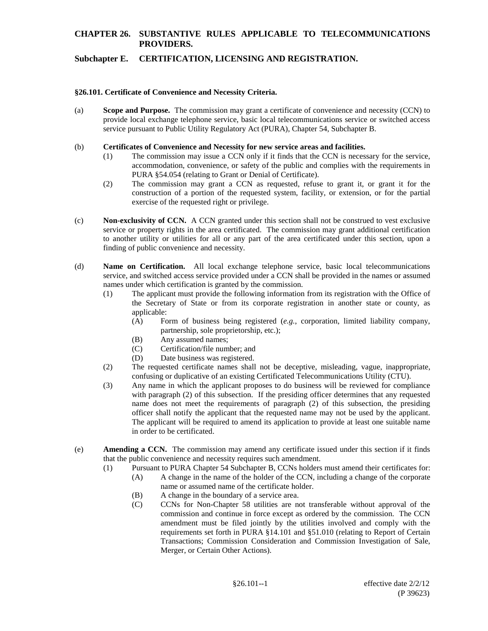# **CHAPTER 26. SUBSTANTIVE RULES APPLICABLE TO TELECOMMUNICATIONS PROVIDERS.**

## **Subchapter E. CERTIFICATION, LICENSING AND REGISTRATION.**

#### **§26.101. Certificate of Convenience and Necessity Criteria.**

(a) **Scope and Purpose.** The commission may grant a certificate of convenience and necessity (CCN) to provide local exchange telephone service, basic local telecommunications service or switched access service pursuant to Public Utility Regulatory Act (PURA), Chapter 54, Subchapter B.

#### (b) **Certificates of Convenience and Necessity for new service areas and facilities.**

- (1) The commission may issue a CCN only if it finds that the CCN is necessary for the service, accommodation, convenience, or safety of the public and complies with the requirements in PURA §54.054 (relating to Grant or Denial of Certificate).
- (2) The commission may grant a CCN as requested, refuse to grant it, or grant it for the construction of a portion of the requested system, facility, or extension, or for the partial exercise of the requested right or privilege.
- (c) **Non-exclusivity of CCN.** A CCN granted under this section shall not be construed to vest exclusive service or property rights in the area certificated. The commission may grant additional certification to another utility or utilities for all or any part of the area certificated under this section, upon a finding of public convenience and necessity.
- (d) **Name on Certification.** All local exchange telephone service, basic local telecommunications service, and switched access service provided under a CCN shall be provided in the names or assumed names under which certification is granted by the commission.
	- (1) The applicant must provide the following information from its registration with the Office of the Secretary of State or from its corporate registration in another state or county, as applicable:
		- (A) Form of business being registered (*e.g.*, corporation, limited liability company, partnership, sole proprietorship, etc.);
		- (B) Any assumed names;
		- (C) Certification/file number; and
		- (D) Date business was registered.
	- (2) The requested certificate names shall not be deceptive, misleading, vague, inappropriate, confusing or duplicative of an existing Certificated Telecommunications Utility (CTU).
	- (3) Any name in which the applicant proposes to do business will be reviewed for compliance with paragraph (2) of this subsection. If the presiding officer determines that any requested name does not meet the requirements of paragraph (2) of this subsection, the presiding officer shall notify the applicant that the requested name may not be used by the applicant. The applicant will be required to amend its application to provide at least one suitable name in order to be certificated.
- (e) **Amending a CCN.** The commission may amend any certificate issued under this section if it finds that the public convenience and necessity requires such amendment.
	- (1) Pursuant to PURA Chapter 54 Subchapter B, CCNs holders must amend their certificates for: (A) A change in the name of the holder of the CCN, including a change of the corporate
		- name or assumed name of the certificate holder.
		- (B) A change in the boundary of a service area.
		- (C) CCNs for Non-Chapter 58 utilities are not transferable without approval of the commission and continue in force except as ordered by the commission. The CCN amendment must be filed jointly by the utilities involved and comply with the requirements set forth in PURA §14.101 and §51.010 (relating to Report of Certain Transactions; Commission Consideration and Commission Investigation of Sale, Merger, or Certain Other Actions).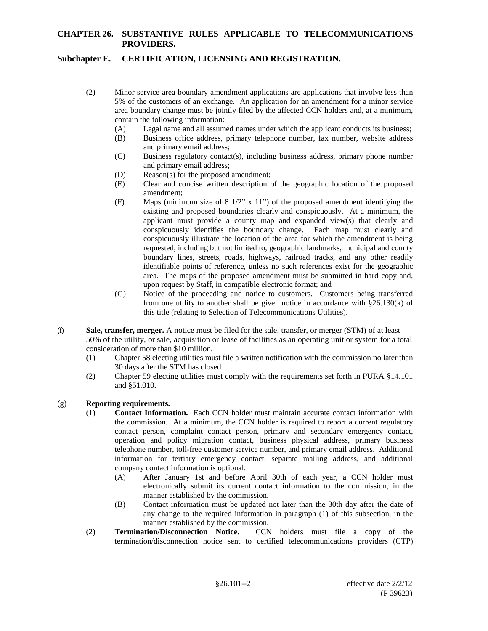## **CHAPTER 26. SUBSTANTIVE RULES APPLICABLE TO TELECOMMUNICATIONS PROVIDERS.**

## **Subchapter E. CERTIFICATION, LICENSING AND REGISTRATION.**

- (2) Minor service area boundary amendment applications are applications that involve less than 5% of the customers of an exchange. An application for an amendment for a minor service area boundary change must be jointly filed by the affected CCN holders and, at a minimum, contain the following information:
	- (A) Legal name and all assumed names under which the applicant conducts its business;<br>(B) Business office address, primary telephone number, fax number, website address
	- Business office address, primary telephone number, fax number, website address and primary email address;
	- (C) Business regulatory contact(s), including business address, primary phone number and primary email address;
	- (D) Reason(s) for the proposed amendment;
	- (E) Clear and concise written description of the geographic location of the proposed amendment;
	- (F) Maps (minimum size of  $8 \frac{1}{2}$ " x  $11$ ") of the proposed amendment identifying the existing and proposed boundaries clearly and conspicuously. At a minimum, the applicant must provide a county map and expanded view(s) that clearly and conspicuously identifies the boundary change. Each map must clearly and conspicuously illustrate the location of the area for which the amendment is being requested, including but not limited to, geographic landmarks, municipal and county boundary lines, streets, roads, highways, railroad tracks, and any other readily identifiable points of reference, unless no such references exist for the geographic area. The maps of the proposed amendment must be submitted in hard copy and, upon request by Staff, in compatible electronic format; and
	- (G) Notice of the proceeding and notice to customers. Customers being transferred from one utility to another shall be given notice in accordance with  $\S 26.130(k)$  of this title (relating to Selection of Telecommunications Utilities).
- (f) **Sale, transfer, merger.** A notice must be filed for the sale, transfer, or merger (STM) of at least 50% of the utility, or sale, acquisition or lease of facilities as an operating unit or system for a total consideration of more than \$10 million.
	- (1) Chapter 58 electing utilities must file a written notification with the commission no later than 30 days after the STM has closed.
	- (2) Chapter 59 electing utilities must comply with the requirements set forth in PURA §14.101 and §51.010.

#### (g) **Reporting requirements.**

- (1) **Contact Information.** Each CCN holder must maintain accurate contact information with the commission. At a minimum, the CCN holder is required to report a current regulatory contact person, complaint contact person, primary and secondary emergency contact, operation and policy migration contact, business physical address, primary business telephone number, toll-free customer service number, and primary email address. Additional information for tertiary emergency contact, separate mailing address, and additional company contact information is optional.
	- (A) After January 1st and before April 30th of each year, a CCN holder must electronically submit its current contact information to the commission, in the manner established by the commission.
	- (B) Contact information must be updated not later than the 30th day after the date of any change to the required information in paragraph (1) of this subsection, in the manner established by the commission.
- (2) **Termination/Disconnection Notice.** CCN holders must file a copy of the termination/disconnection notice sent to certified telecommunications providers (CTP)